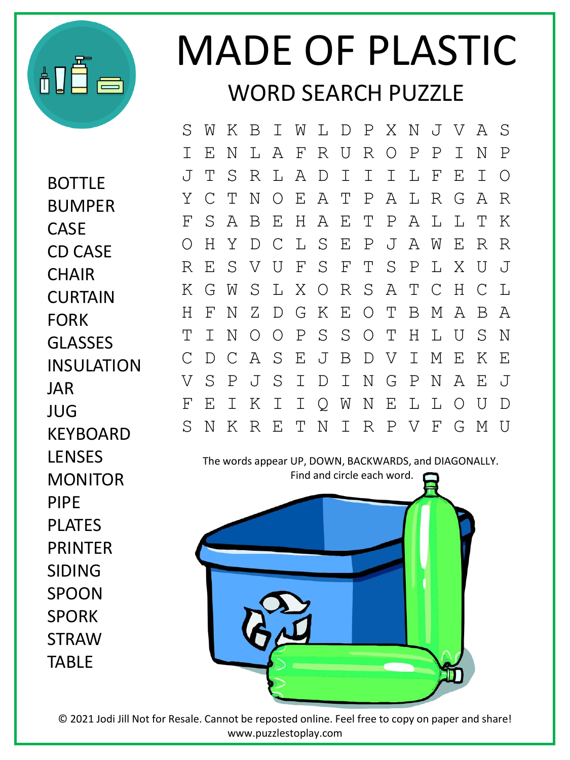

## MADE OF PLASTIC WORD SEARCH PUZZLE

BOTTLE BUMPER CASE CD CASE **CHAIR** CURTAIN FORK GLASSES INSULATION JAR JUG KEYBOARD **LENSES** MONITOR PIPE PLATES PRINTER SIDING SPOON SPORK **STRAW** TABLE

S W K B I W L D P X N J V A S I E N L A F R U R O P P I N P J T S R L A D I I I L F E I O Y C T N O E A T P A L R G A R F S A B E H A E T P A L L T K O H Y D C L S E P J A W E R R R E S V U F S F T S P L X U J K G W S L X O R S A T C H C L H F N Z D G K E O T B M A B A T I N O O P S S O T H L U S N C D C A S E J B D V I M E K E V S P J S I D I N G P N A E J F E I K I I Q W N E L L O U D S N K R E T N I R P V F G M U

The words appear UP, DOWN, BACKWARDS, and DIAGONALLY. Find and circle each word.



© 2021 Jodi Jill Not for Resale. Cannot be reposted online. Feel free to copy on paper and share! www.puzzlestoplay.com